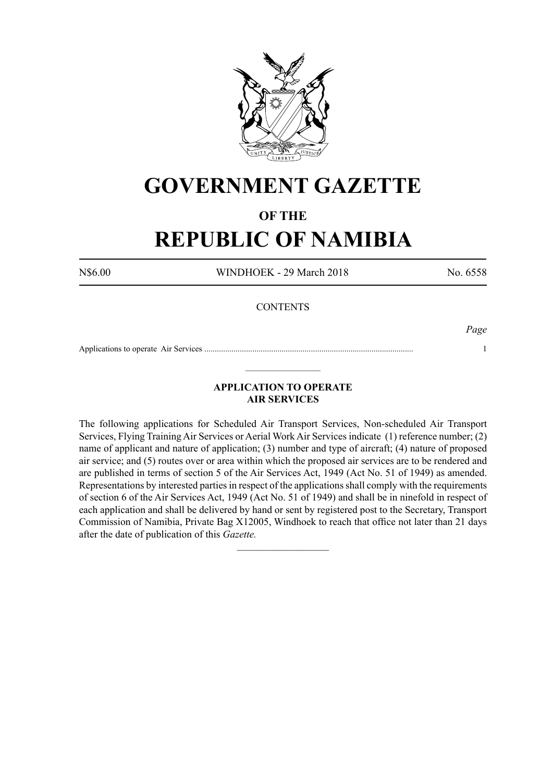

# **GOVERNMENT GAZETTE**

## **OF THE**

# **REPUBLIC OF NAMIBIA**

N\$6.00 WINDHOEK - 29 March 2018 No. 6558

### **CONTENTS**

*Page*

Applications to operate Air Services .................................................................................................... 1  $\_$ 

## **APPLICATION TO OPERATE AIR SERVICES**

The following applications for Scheduled Air Transport Services, Non-scheduled Air Transport Services, Flying Training Air Services or Aerial Work Air Services indicate (1) reference number; (2) name of applicant and nature of application; (3) number and type of aircraft; (4) nature of proposed air service; and (5) routes over or area within which the proposed air services are to be rendered and are published in terms of section 5 of the Air Services Act, 1949 (Act No. 51 of 1949) as amended. Representations by interested parties in respect of the applications shall comply with the requirements of section 6 of the Air Services Act, 1949 (Act No. 51 of 1949) and shall be in ninefold in respect of each application and shall be delivered by hand or sent by registered post to the Secretary, Transport Commission of Namibia, Private Bag X12005, Windhoek to reach that office not later than 21 days after the date of publication of this *Gazette.*

 $\frac{1}{2}$  ,  $\frac{1}{2}$  ,  $\frac{1}{2}$  ,  $\frac{1}{2}$  ,  $\frac{1}{2}$  ,  $\frac{1}{2}$  ,  $\frac{1}{2}$  ,  $\frac{1}{2}$  ,  $\frac{1}{2}$  ,  $\frac{1}{2}$